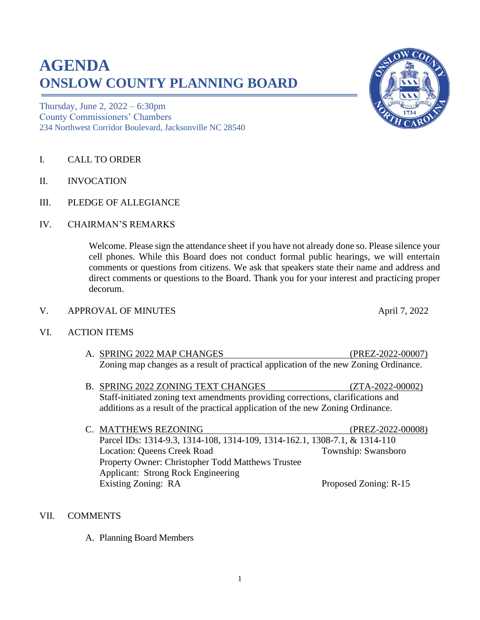# **AGENDA ONSLOW COUNTY PLANNING BOARD**

Thursday, June 2, 2022 – 6:30pm County Commissioners' Chambers 234 Northwest Corridor Boulevard, Jacksonville NC 28540

- I. CALL TO ORDER
- II. INVOCATION
- III. PLEDGE OF ALLEGIANCE
- IV. CHAIRMAN'S REMARKS

Welcome. Please sign the attendance sheet if you have not already done so. Please silence your cell phones. While this Board does not conduct formal public hearings, we will entertain comments or questions from citizens. We ask that speakers state their name and address and direct comments or questions to the Board. Thank you for your interest and practicing proper decorum.

V. APPROVAL OF MINUTES April 7, 2022

#### VI. ACTION ITEMS

- A. SPRING 2022 MAP CHANGES (PREZ-2022-00007) Zoning map changes as a result of practical application of the new Zoning Ordinance.
- B. SPRING 2022 ZONING TEXT CHANGES (ZTA-2022-00002) Staff-initiated zoning text amendments providing corrections, clarifications and additions as a result of the practical application of the new Zoning Ordinance.
- C. MATTHEWS REZONING (PREZ-2022-00008) Parcel IDs: 1314-9.3, 1314-108, 1314-109, 1314-162.1, 1308-7.1, & 1314-110 Location: Queens Creek Road Township: Swansboro Property Owner: Christopher Todd Matthews Trustee Applicant: Strong Rock Engineering Existing Zoning: RA Proposed Zoning: R-15

#### VII. COMMENTS

A. Planning Board Members